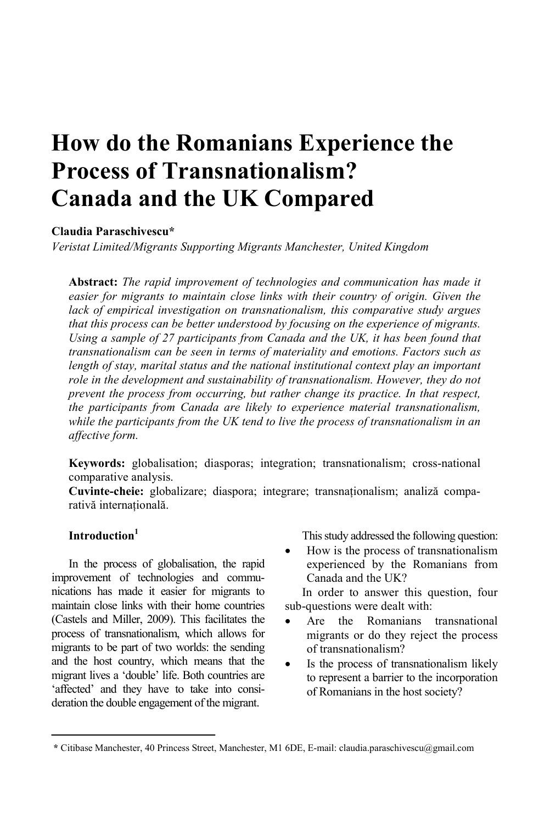# **How do the Romanians Experience the Process of Transnationalism? Canada and the UK Compared**

# **Claudia Paraschivescu\***

*Veristat Limited/Migrants Supporting Migrants Manchester, United Kingdom* 

**Abstract:** *The rapid improvement of technologies and communication has made it easier for migrants to maintain close links with their country of origin. Given the lack of empirical investigation on transnationalism, this comparative study argues that this process can be better understood by focusing on the experience of migrants. Using a sample of 27 participants from Canada and the UK, it has been found that transnationalism can be seen in terms of materiality and emotions. Factors such as length of stay, marital status and the national institutional context play an important role in the development and sustainability of transnationalism. However, they do not prevent the process from occurring, but rather change its practice. In that respect, the participants from Canada are likely to experience material transnationalism, while the participants from the UK tend to live the process of transnationalism in an affective form.* 

**Keywords:** globalisation; diasporas; integration; transnationalism; cross-national comparative analysis.

**Cuvinte-cheie:** globalizare; diaspora; integrare; transnationalism; analiză comparativă internatională.

# **Introduction1**

In the process of globalisation, the rapid improvement of technologies and communications has made it easier for migrants to maintain close links with their home countries (Castels and Miller, 2009). This facilitates the process of transnationalism, which allows for migrants to be part of two worlds: the sending and the host country, which means that the migrant lives a 'double' life. Both countries are 'affected' and they have to take into consideration the double engagement of the migrant.

This study addressed the following question:

• How is the process of transnationalism experienced by the Romanians from Canada and the UK?

In order to answer this question, four sub-questions were dealt with:

- Are the Romanians transnational migrants or do they reject the process of transnationalism?
- Is the process of transnationalism likely to represent a barrier to the incorporation of Romanians in the host society?

**<sup>\*</sup>** Citibase Manchester, 40 Princess Street, Manchester, M1 6DE, E-mail: claudia.paraschivescu@gmail.com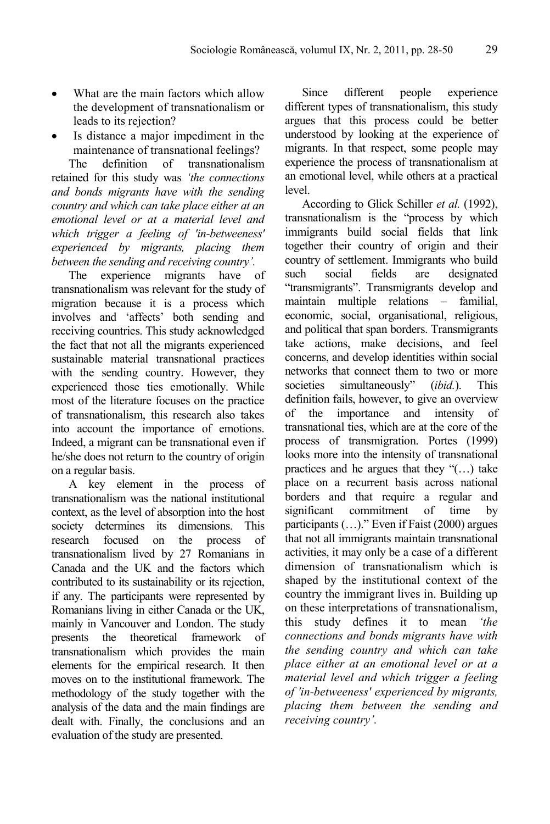- What are the main factors which allow the development of transnationalism or leads to its rejection?
- Is distance a major impediment in the maintenance of transnational feelings?

The definition of transnationalism retained for this study was *'the connections and bonds migrants have with the sending country and which can take place either at an emotional level or at a material level and which trigger a feeling of 'in-betweeness' experienced by migrants, placing them between the sending and receiving country'.* 

The experience migrants have of transnationalism was relevant for the study of migration because it is a process which involves and 'affects' both sending and receiving countries. This study acknowledged the fact that not all the migrants experienced sustainable material transnational practices with the sending country. However, they experienced those ties emotionally. While most of the literature focuses on the practice of transnationalism, this research also takes into account the importance of emotions. Indeed, a migrant can be transnational even if he/she does not return to the country of origin on a regular basis.

A key element in the process of transnationalism was the national institutional context, as the level of absorption into the host society determines its dimensions. This research focused on the process of transnationalism lived by 27 Romanians in Canada and the UK and the factors which contributed to its sustainability or its rejection, if any. The participants were represented by Romanians living in either Canada or the UK, mainly in Vancouver and London. The study presents the theoretical framework of transnationalism which provides the main elements for the empirical research. It then moves on to the institutional framework. The methodology of the study together with the analysis of the data and the main findings are dealt with. Finally, the conclusions and an evaluation of the study are presented.

Since different people experience different types of transnationalism, this study argues that this process could be better understood by looking at the experience of migrants. In that respect, some people may experience the process of transnationalism at an emotional level, while others at a practical level.

According to Glick Schiller *et al.* (1992), transnationalism is the "process by which immigrants build social fields that link together their country of origin and their country of settlement. Immigrants who build such social fields are designated "transmigrants". Transmigrants develop and maintain multiple relations – familial, economic, social, organisational, religious, and political that span borders. Transmigrants take actions, make decisions, and feel concerns, and develop identities within social networks that connect them to two or more societies simultaneously" (*ibid.*). This definition fails, however, to give an overview of the importance and intensity of transnational ties, which are at the core of the process of transmigration. Portes (1999) looks more into the intensity of transnational practices and he argues that they "(…) take place on a recurrent basis across national borders and that require a regular and significant commitment of time by participants (…)." Even if Faist (2000) argues that not all immigrants maintain transnational activities, it may only be a case of a different dimension of transnationalism which is shaped by the institutional context of the country the immigrant lives in. Building up on these interpretations of transnationalism, this study defines it to mean *'the connections and bonds migrants have with the sending country and which can take place either at an emotional level or at a material level and which trigger a feeling of 'in-betweeness' experienced by migrants, placing them between the sending and receiving country'.*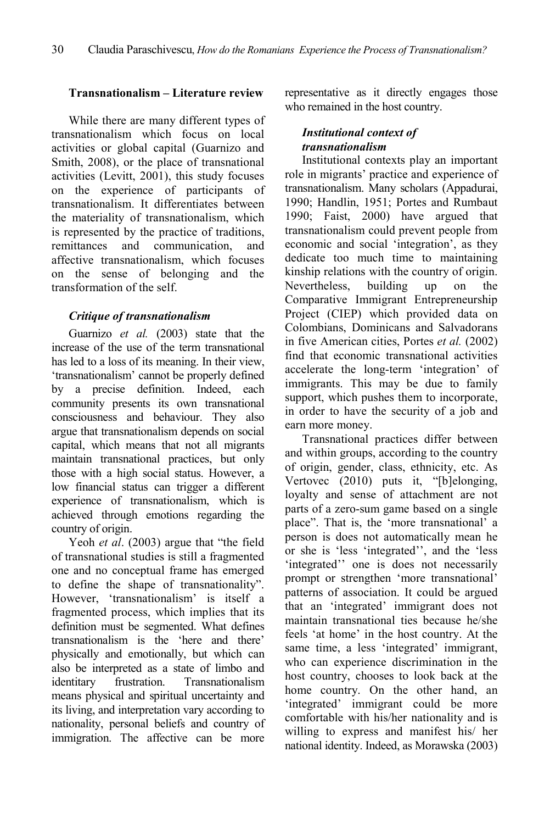# **Transnationalism – Literature review**

While there are many different types of transnationalism which focus on local activities or global capital (Guarnizo and Smith, 2008), or the place of transnational activities (Levitt, 2001), this study focuses on the experience of participants of transnationalism. It differentiates between the materiality of transnationalism, which is represented by the practice of traditions, remittances and communication, and affective transnationalism, which focuses on the sense of belonging and the transformation of the self.

# *Critique of transnationalism*

Guarnizo *et al.* (2003) state that the increase of the use of the term transnational has led to a loss of its meaning. In their view, 'transnationalism' cannot be properly defined by a precise definition. Indeed, each community presents its own transnational consciousness and behaviour. They also argue that transnationalism depends on social capital, which means that not all migrants maintain transnational practices, but only those with a high social status. However, a low financial status can trigger a different experience of transnationalism, which is achieved through emotions regarding the country of origin.

Yeoh *et al.* (2003) argue that "the field of transnational studies is still a fragmented one and no conceptual frame has emerged to define the shape of transnationality". However, 'transnationalism' is itself a fragmented process, which implies that its definition must be segmented. What defines transnationalism is the 'here and there' physically and emotionally, but which can also be interpreted as a state of limbo and identitary frustration. Transnationalism means physical and spiritual uncertainty and its living, and interpretation vary according to nationality, personal beliefs and country of immigration. The affective can be more representative as it directly engages those who remained in the host country.

# *Institutional context of transnationalism*

Institutional contexts play an important role in migrants' practice and experience of transnationalism. Many scholars (Appadurai, 1990; Handlin, 1951; Portes and Rumbaut 1990; Faist, 2000) have argued that transnationalism could prevent people from economic and social 'integration', as they dedicate too much time to maintaining kinship relations with the country of origin. Nevertheless, building up on the Comparative Immigrant Entrepreneurship Project (CIEP) which provided data on Colombians, Dominicans and Salvadorans in five American cities, Portes *et al.* (2002) find that economic transnational activities accelerate the long-term 'integration' of immigrants. This may be due to family support, which pushes them to incorporate, in order to have the security of a job and earn more money.

Transnational practices differ between and within groups, according to the country of origin, gender, class, ethnicity, etc. As Vertovec (2010) puts it, "[b]elonging, loyalty and sense of attachment are not parts of a zero-sum game based on a single place". That is, the 'more transnational' a person is does not automatically mean he or she is 'less 'integrated'', and the 'less 'integrated'' one is does not necessarily prompt or strengthen 'more transnational' patterns of association. It could be argued that an 'integrated' immigrant does not maintain transnational ties because he/she feels 'at home' in the host country. At the same time, a less 'integrated' immigrant, who can experience discrimination in the host country, chooses to look back at the home country. On the other hand, an 'integrated' immigrant could be more comfortable with his/her nationality and is willing to express and manifest his/ her national identity. Indeed, as Morawska (2003)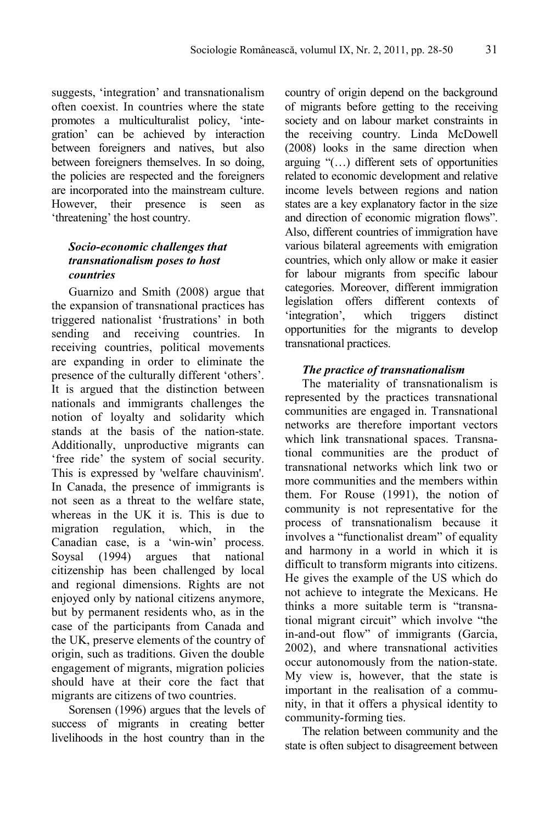suggests, 'integration' and transnationalism often coexist. In countries where the state promotes a multiculturalist policy, 'integration' can be achieved by interaction between foreigners and natives, but also between foreigners themselves. In so doing, the policies are respected and the foreigners are incorporated into the mainstream culture. However, their presence is seen as 'threatening' the host country.

# *Socio-economic challenges that transnationalism poses to host countries*

Guarnizo and Smith (2008) argue that the expansion of transnational practices has triggered nationalist 'frustrations' in both sending and receiving countries. In receiving countries, political movements are expanding in order to eliminate the presence of the culturally different 'others'. It is argued that the distinction between nationals and immigrants challenges the notion of loyalty and solidarity which stands at the basis of the nation-state. Additionally, unproductive migrants can 'free ride' the system of social security. This is expressed by 'welfare chauvinism'. In Canada, the presence of immigrants is not seen as a threat to the welfare state, whereas in the UK it is. This is due to migration regulation, which, in the Canadian case, is a 'win-win' process. Soysal (1994) argues that national citizenship has been challenged by local and regional dimensions. Rights are not enjoyed only by national citizens anymore, but by permanent residents who, as in the case of the participants from Canada and the UK, preserve elements of the country of origin, such as traditions. Given the double engagement of migrants, migration policies should have at their core the fact that migrants are citizens of two countries.

Sorensen (1996) argues that the levels of success of migrants in creating better livelihoods in the host country than in the

country of origin depend on the background of migrants before getting to the receiving society and on labour market constraints in the receiving country. Linda McDowell (2008) looks in the same direction when arguing "(…) different sets of opportunities related to economic development and relative income levels between regions and nation states are a key explanatory factor in the size and direction of economic migration flows". Also, different countries of immigration have various bilateral agreements with emigration countries, which only allow or make it easier for labour migrants from specific labour categories. Moreover, different immigration legislation offers different contexts of 'integration', which triggers distinct opportunities for the migrants to develop transnational practices.

# *The practice of transnationalism*

The materiality of transnationalism is represented by the practices transnational communities are engaged in. Transnational networks are therefore important vectors which link transnational spaces. Transnational communities are the product of transnational networks which link two or more communities and the members within them. For Rouse (1991), the notion of community is not representative for the process of transnationalism because it involves a "functionalist dream" of equality and harmony in a world in which it is difficult to transform migrants into citizens. He gives the example of the US which do not achieve to integrate the Mexicans. He thinks a more suitable term is "transnational migrant circuit" which involve "the in-and-out flow" of immigrants (Garcia, 2002), and where transnational activities occur autonomously from the nation-state. My view is, however, that the state is important in the realisation of a community, in that it offers a physical identity to community-forming ties.

The relation between community and the state is often subject to disagreement between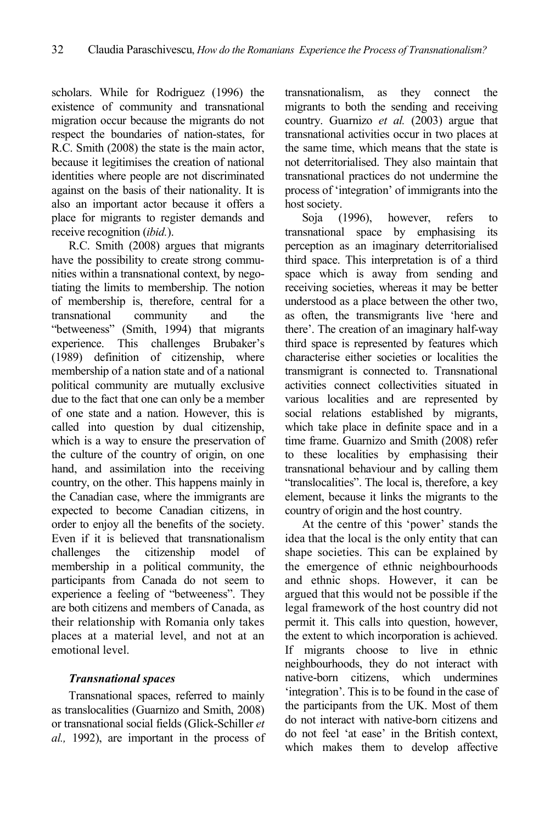scholars. While for Rodriguez (1996) the existence of community and transnational migration occur because the migrants do not respect the boundaries of nation-states, for R.C. Smith (2008) the state is the main actor, because it legitimises the creation of national identities where people are not discriminated against on the basis of their nationality. It is also an important actor because it offers a place for migrants to register demands and receive recognition (*ibid.*).

R.C. Smith (2008) argues that migrants have the possibility to create strong communities within a transnational context, by negotiating the limits to membership. The notion of membership is, therefore, central for a transnational community and the "betweeness" (Smith, 1994) that migrants experience. This challenges Brubaker's (1989) definition of citizenship, where membership of a nation state and of a national political community are mutually exclusive due to the fact that one can only be a member of one state and a nation. However, this is called into question by dual citizenship, which is a way to ensure the preservation of the culture of the country of origin, on one hand, and assimilation into the receiving country, on the other. This happens mainly in the Canadian case, where the immigrants are expected to become Canadian citizens, in order to enjoy all the benefits of the society. Even if it is believed that transnationalism challenges the citizenship model of membership in a political community, the participants from Canada do not seem to experience a feeling of "betweeness". They are both citizens and members of Canada, as their relationship with Romania only takes places at a material level, and not at an emotional level.

# *Transnational spaces*

Transnational spaces, referred to mainly as translocalities (Guarnizo and Smith, 2008) or transnational social fields (Glick-Schiller *et al.,* 1992), are important in the process of transnationalism, as they connect the migrants to both the sending and receiving country. Guarnizo *et al.* (2003) argue that transnational activities occur in two places at the same time, which means that the state is not deterritorialised. They also maintain that transnational practices do not undermine the process of 'integration' of immigrants into the host society.

Soja (1996), however, refers to transnational space by emphasising its perception as an imaginary deterritorialised third space. This interpretation is of a third space which is away from sending and receiving societies, whereas it may be better understood as a place between the other two, as often, the transmigrants live 'here and there'. The creation of an imaginary half-way third space is represented by features which characterise either societies or localities the transmigrant is connected to. Transnational activities connect collectivities situated in various localities and are represented by social relations established by migrants, which take place in definite space and in a time frame. Guarnizo and Smith (2008) refer to these localities by emphasising their transnational behaviour and by calling them "translocalities". The local is, therefore, a key element, because it links the migrants to the country of origin and the host country.

At the centre of this 'power' stands the idea that the local is the only entity that can shape societies. This can be explained by the emergence of ethnic neighbourhoods and ethnic shops. However, it can be argued that this would not be possible if the legal framework of the host country did not permit it. This calls into question, however, the extent to which incorporation is achieved. If migrants choose to live in ethnic neighbourhoods, they do not interact with native-born citizens, which undermines 'integration'. This is to be found in the case of the participants from the UK. Most of them do not interact with native-born citizens and do not feel 'at ease' in the British context, which makes them to develop affective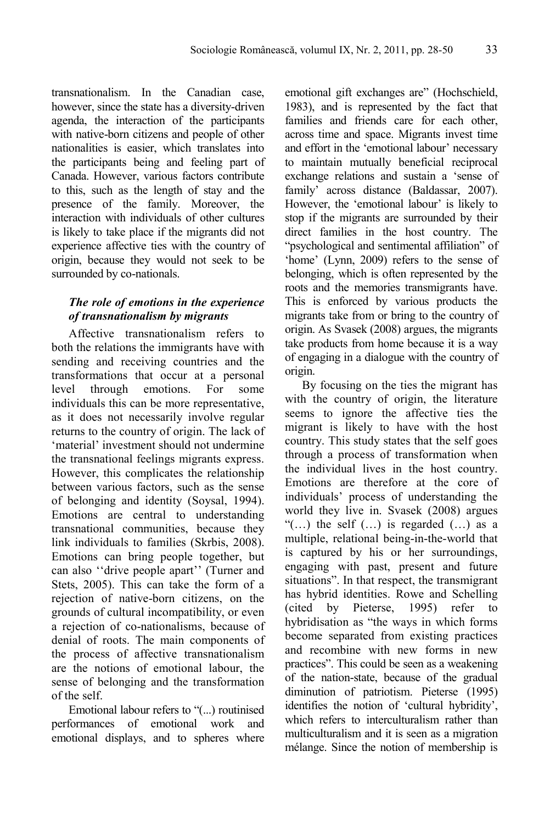transnationalism. In the Canadian case, however, since the state has a diversity-driven agenda, the interaction of the participants with native-born citizens and people of other nationalities is easier, which translates into the participants being and feeling part of Canada. However, various factors contribute to this, such as the length of stay and the presence of the family. Moreover, the interaction with individuals of other cultures is likely to take place if the migrants did not experience affective ties with the country of origin, because they would not seek to be surrounded by co-nationals.

## *The role of emotions in the experience of transnationalism by migrants*

Affective transnationalism refers to both the relations the immigrants have with sending and receiving countries and the transformations that occur at a personal level through emotions. For some individuals this can be more representative, as it does not necessarily involve regular returns to the country of origin. The lack of 'material' investment should not undermine the transnational feelings migrants express. However, this complicates the relationship between various factors, such as the sense of belonging and identity (Soysal, 1994). Emotions are central to understanding transnational communities, because they link individuals to families (Skrbis, 2008). Emotions can bring people together, but can also ''drive people apart'' (Turner and Stets, 2005). This can take the form of a rejection of native-born citizens, on the grounds of cultural incompatibility, or even a rejection of co-nationalisms, because of denial of roots. The main components of the process of affective transnationalism are the notions of emotional labour, the sense of belonging and the transformation of the self.

Emotional labour refers to "(...) routinised performances of emotional work and emotional displays, and to spheres where emotional gift exchanges are" (Hochschield, 1983), and is represented by the fact that families and friends care for each other, across time and space. Migrants invest time and effort in the 'emotional labour' necessary to maintain mutually beneficial reciprocal exchange relations and sustain a 'sense of family' across distance (Baldassar, 2007). However, the 'emotional labour' is likely to stop if the migrants are surrounded by their direct families in the host country. The "psychological and sentimental affiliation" of 'home' (Lynn, 2009) refers to the sense of belonging, which is often represented by the roots and the memories transmigrants have. This is enforced by various products the migrants take from or bring to the country of origin. As Svasek (2008) argues, the migrants take products from home because it is a way of engaging in a dialogue with the country of origin.

By focusing on the ties the migrant has with the country of origin, the literature seems to ignore the affective ties the migrant is likely to have with the host country. This study states that the self goes through a process of transformation when the individual lives in the host country. Emotions are therefore at the core of individuals' process of understanding the world they live in. Svasek (2008) argues "(…) the self (…) is regarded (…) as a multiple, relational being-in-the-world that is captured by his or her surroundings, engaging with past, present and future situations". In that respect, the transmigrant has hybrid identities. Rowe and Schelling (cited by Pieterse, 1995) refer hybridisation as "the ways in which forms become separated from existing practices and recombine with new forms in new practices". This could be seen as a weakening of the nation-state, because of the gradual diminution of patriotism. Pieterse (1995) identifies the notion of 'cultural hybridity', which refers to interculturalism rather than multiculturalism and it is seen as a migration mélange. Since the notion of membership is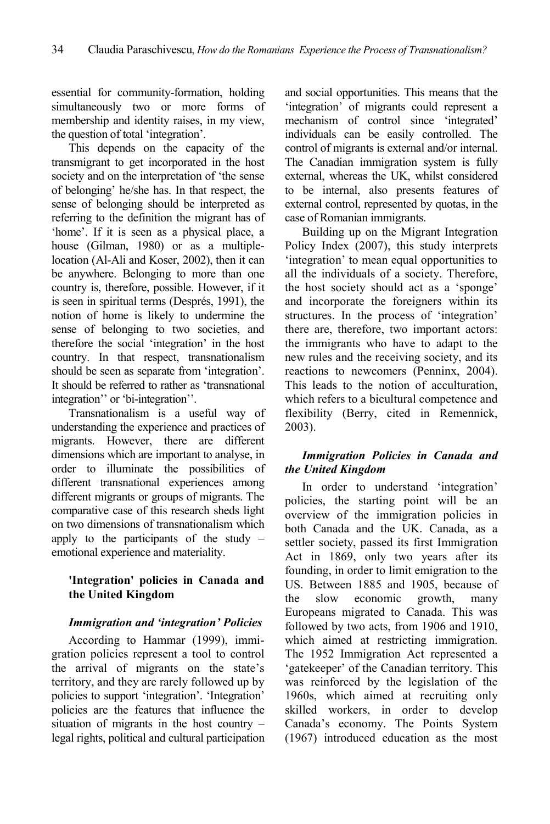essential for community-formation, holding simultaneously two or more forms of membership and identity raises, in my view, the question of total 'integration'.

This depends on the capacity of the transmigrant to get incorporated in the host society and on the interpretation of 'the sense of belonging' he/she has. In that respect, the sense of belonging should be interpreted as referring to the definition the migrant has of 'home'. If it is seen as a physical place, a house (Gilman, 1980) or as a multiplelocation (Al-Ali and Koser, 2002), then it can be anywhere. Belonging to more than one country is, therefore, possible. However, if it is seen in spiritual terms (Després, 1991), the notion of home is likely to undermine the sense of belonging to two societies, and therefore the social 'integration' in the host country. In that respect, transnationalism should be seen as separate from 'integration'. It should be referred to rather as 'transnational integration'' or 'bi-integration''.

Transnationalism is a useful way of understanding the experience and practices of migrants. However, there are different dimensions which are important to analyse, in order to illuminate the possibilities of different transnational experiences among different migrants or groups of migrants. The comparative case of this research sheds light on two dimensions of transnationalism which apply to the participants of the study – emotional experience and materiality.

# **'Integration' policies in Canada and the United Kingdom**

# *Immigration and 'integration' Policies*

According to Hammar (1999), immigration policies represent a tool to control the arrival of migrants on the state's territory, and they are rarely followed up by policies to support 'integration'. 'Integration' policies are the features that influence the situation of migrants in the host country – legal rights, political and cultural participation and social opportunities. This means that the 'integration' of migrants could represent a mechanism of control since 'integrated' individuals can be easily controlled. The control of migrants is external and/or internal. The Canadian immigration system is fully external, whereas the UK, whilst considered to be internal, also presents features of external control, represented by quotas, in the case of Romanian immigrants.

Building up on the Migrant Integration Policy Index (2007), this study interprets 'integration' to mean equal opportunities to all the individuals of a society. Therefore, the host society should act as a 'sponge' and incorporate the foreigners within its structures. In the process of 'integration' there are, therefore, two important actors: the immigrants who have to adapt to the new rules and the receiving society, and its reactions to newcomers (Penninx, 2004). This leads to the notion of acculturation, which refers to a bicultural competence and flexibility (Berry, cited in Remennick, 2003).

# *Immigration Policies in Canada and the United Kingdom*

In order to understand 'integration' policies, the starting point will be an overview of the immigration policies in both Canada and the UK. Canada, as a settler society, passed its first Immigration Act in 1869, only two years after its founding, in order to limit emigration to the US. Between 1885 and 1905, because of the slow economic growth, many Europeans migrated to Canada. This was followed by two acts, from 1906 and 1910, which aimed at restricting immigration. The 1952 Immigration Act represented a 'gatekeeper' of the Canadian territory. This was reinforced by the legislation of the 1960s, which aimed at recruiting only skilled workers, in order to develop Canada's economy. The Points System (1967) introduced education as the most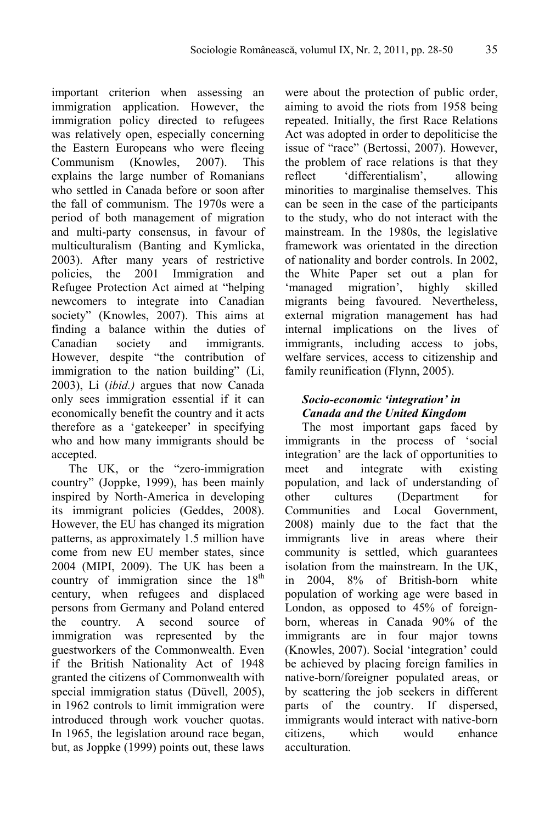important criterion when assessing an immigration application. However, the immigration policy directed to refugees was relatively open, especially concerning the Eastern Europeans who were fleeing Communism (Knowles, 2007). This explains the large number of Romanians who settled in Canada before or soon after the fall of communism. The 1970s were a period of both management of migration and multi-party consensus, in favour of multiculturalism (Banting and Kymlicka, 2003). After many years of restrictive policies, the 2001 Immigration and Refugee Protection Act aimed at "helping newcomers to integrate into Canadian society" (Knowles, 2007). This aims at finding a balance within the duties of Canadian society and immigrants. However, despite "the contribution of immigration to the nation building" (Li, 2003), Li (*ibid.)* argues that now Canada only sees immigration essential if it can economically benefit the country and it acts therefore as a 'gatekeeper' in specifying who and how many immigrants should be accepted.

The UK, or the "zero-immigration country" (Joppke, 1999), has been mainly inspired by North-America in developing its immigrant policies (Geddes, 2008). However, the EU has changed its migration patterns, as approximately 1.5 million have come from new EU member states, since 2004 (MIPI, 2009). The UK has been a country of immigration since the  $18<sup>th</sup>$ century, when refugees and displaced persons from Germany and Poland entered the country. A second source of immigration was represented by the guestworkers of the Commonwealth. Even if the British Nationality Act of 1948 granted the citizens of Commonwealth with special immigration status (Düvell, 2005), in 1962 controls to limit immigration were introduced through work voucher quotas. In 1965, the legislation around race began, but, as Joppke (1999) points out, these laws were about the protection of public order, aiming to avoid the riots from 1958 being repeated. Initially, the first Race Relations Act was adopted in order to depoliticise the issue of "race" (Bertossi, 2007). However, the problem of race relations is that they reflect 'differentialism', allowing minorities to marginalise themselves. This can be seen in the case of the participants to the study, who do not interact with the mainstream. In the 1980s, the legislative framework was orientated in the direction of nationality and border controls. In 2002, the White Paper set out a plan for 'managed migration', highly skilled migrants being favoured. Nevertheless, external migration management has had internal implications on the lives of immigrants, including access to jobs, welfare services, access to citizenship and family reunification (Flynn, 2005).

# *Socio-economic 'integration' in Canada and the United Kingdom*

The most important gaps faced by immigrants in the process of 'social integration' are the lack of opportunities to meet and integrate with existing population, and lack of understanding of other cultures (Department for Communities and Local Government, 2008) mainly due to the fact that the immigrants live in areas where their community is settled, which guarantees isolation from the mainstream. In the UK, in 2004, 8% of British-born white population of working age were based in London, as opposed to 45% of foreignborn, whereas in Canada 90% of the immigrants are in four major towns (Knowles, 2007). Social 'integration' could be achieved by placing foreign families in native-born/foreigner populated areas, or by scattering the job seekers in different parts of the country. If dispersed, immigrants would interact with native-born citizens, which would enhance acculturation.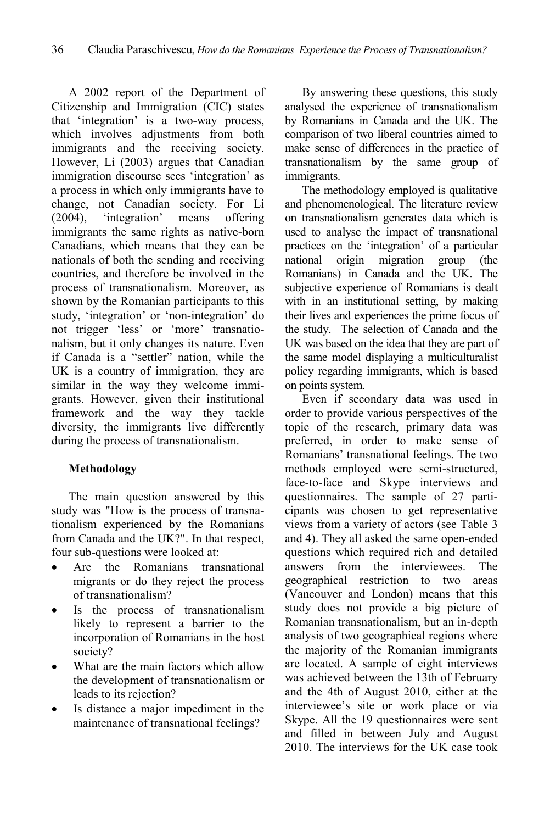A 2002 report of the Department of Citizenship and Immigration (CIC) states that 'integration' is a two-way process, which involves adjustments from both immigrants and the receiving society. However, Li (2003) argues that Canadian immigration discourse sees 'integration' as a process in which only immigrants have to change, not Canadian society. For Li (2004), 'integration' means offering immigrants the same rights as native-born Canadians, which means that they can be nationals of both the sending and receiving countries, and therefore be involved in the process of transnationalism. Moreover, as shown by the Romanian participants to this study, 'integration' or 'non-integration' do not trigger 'less' or 'more' transnationalism, but it only changes its nature. Even if Canada is a "settler" nation, while the UK is a country of immigration, they are similar in the way they welcome immigrants. However, given their institutional framework and the way they tackle diversity, the immigrants live differently during the process of transnationalism.

# **Methodology**

The main question answered by this study was "How is the process of transnationalism experienced by the Romanians from Canada and the UK?". In that respect, four sub-questions were looked at:

- Are the Romanians transnational migrants or do they reject the process of transnationalism?
- Is the process of transnationalism likely to represent a barrier to the incorporation of Romanians in the host society?
- What are the main factors which allow the development of transnationalism or leads to its rejection?
- Is distance a major impediment in the maintenance of transnational feelings?

By answering these questions, this study analysed the experience of transnationalism by Romanians in Canada and the UK. The comparison of two liberal countries aimed to make sense of differences in the practice of transnationalism by the same group of immigrants.

The methodology employed is qualitative and phenomenological. The literature review on transnationalism generates data which is used to analyse the impact of transnational practices on the 'integration' of a particular national origin migration group (the Romanians) in Canada and the UK. The subjective experience of Romanians is dealt with in an institutional setting, by making their lives and experiences the prime focus of the study. The selection of Canada and the UK was based on the idea that they are part of the same model displaying a multiculturalist policy regarding immigrants, which is based on points system.

Even if secondary data was used in order to provide various perspectives of the topic of the research, primary data was preferred, in order to make sense of Romanians' transnational feelings. The two methods employed were semi-structured, face-to-face and Skype interviews and questionnaires. The sample of 27 participants was chosen to get representative views from a variety of actors (see Table 3 and 4). They all asked the same open-ended questions which required rich and detailed answers from the interviewees. The geographical restriction to two areas (Vancouver and London) means that this study does not provide a big picture of Romanian transnationalism, but an in-depth analysis of two geographical regions where the majority of the Romanian immigrants are located. A sample of eight interviews was achieved between the 13th of February and the 4th of August 2010, either at the interviewee's site or work place or via Skype. All the 19 questionnaires were sent and filled in between July and August 2010. The interviews for the UK case took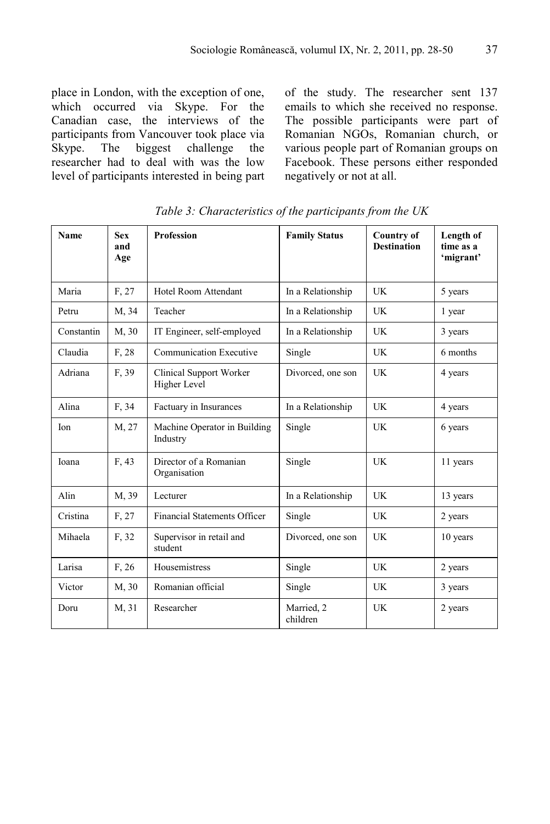place in London, with the exception of one, which occurred via Skype. For the Canadian case, the interviews of the participants from Vancouver took place via Skype. The biggest challenge the researcher had to deal with was the low level of participants interested in being part of the study. The researcher sent 137 emails to which she received no response. The possible participants were part of Romanian NGOs, Romanian church, or various people part of Romanian groups on Facebook. These persons either responded negatively or not at all.

| <b>Name</b> | <b>Sex</b><br>and<br>Age | <b>Profession</b>                        | <b>Family Status</b>   | <b>Country of</b><br><b>Destination</b> | Length of<br>time as a<br>'migrant' |
|-------------|--------------------------|------------------------------------------|------------------------|-----------------------------------------|-------------------------------------|
| Maria       | F. 27                    | Hotel Room Attendant                     | In a Relationship      | UK                                      | 5 years                             |
| Petru       | M, 34                    | Teacher                                  | In a Relationship      | <b>UK</b>                               | 1 year                              |
| Constantin  | M, 30                    | IT Engineer, self-employed               | In a Relationship      | UK                                      | 3 years                             |
| Claudia     | F, 28                    | <b>Communication Executive</b>           | Single                 | UK                                      | 6 months                            |
| Adriana     | F, 39                    | Clinical Support Worker<br>Higher Level  | Divorced, one son      | UK                                      | 4 years                             |
| Alina       | F. 34                    | Factuary in Insurances                   | In a Relationship      | UK                                      | 4 years                             |
| Ion         | M, 27                    | Machine Operator in Building<br>Industry | Single                 | UK                                      | 6 years                             |
| Ioana       | F, 43                    | Director of a Romanian<br>Organisation   | Single                 | UK                                      | 11 years                            |
| Alin        | M, 39                    | Lecturer                                 | In a Relationship      | <b>UK</b>                               | 13 years                            |
| Cristina    | F, 27                    | <b>Financial Statements Officer</b>      | Single                 | <b>UK</b>                               | 2 years                             |
| Mihaela     | F, 32                    | Supervisor in retail and<br>student      | Divorced, one son      | UK                                      | 10 years                            |
| Larisa      | F, 26                    | Housemistress                            | Single                 | <b>UK</b>                               | 2 years                             |
| Victor      | M, 30                    | Romanian official                        | Single                 | <b>UK</b>                               | 3 years                             |
| Doru        | M, 31                    | Researcher                               | Married, 2<br>children | UK                                      | 2 years                             |

*Table 3: Characteristics of the participants from the UK*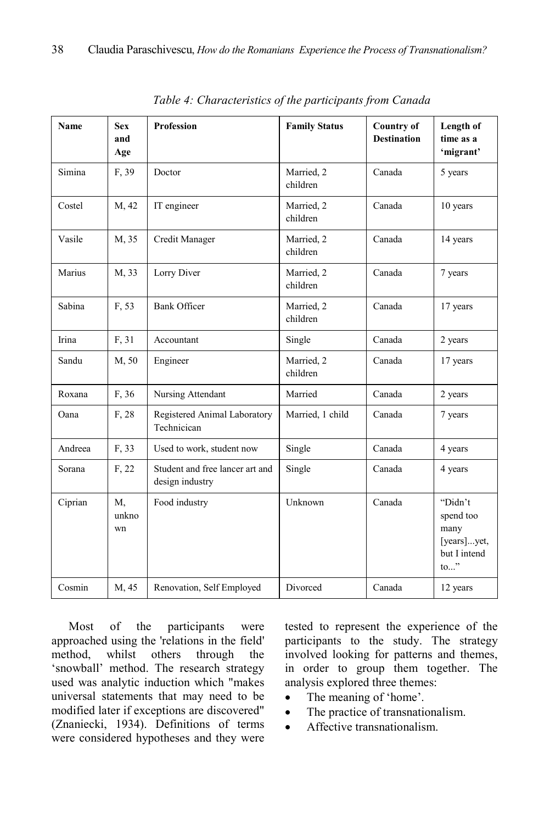| <b>Name</b> | <b>Sex</b><br>and<br>Age | Profession                                         | <b>Family Status</b>   | <b>Country of</b><br><b>Destination</b> | Length of<br>time as a<br>'migrant'                                                  |
|-------------|--------------------------|----------------------------------------------------|------------------------|-----------------------------------------|--------------------------------------------------------------------------------------|
| Simina      | F, 39                    | Doctor                                             | Married, 2<br>children | Canada                                  | 5 years                                                                              |
| Costel      | M, 42                    | IT engineer                                        | Married, 2<br>children | Canada                                  | 10 years                                                                             |
| Vasile      | M, 35                    | Credit Manager                                     | Married, 2<br>children | Canada                                  | 14 years                                                                             |
| Marius      | M, 33                    | Lorry Diver                                        | Married, 2<br>children | Canada                                  | 7 years                                                                              |
| Sabina      | F, 53                    | <b>Bank Officer</b>                                | Married, 2<br>children | Canada                                  | 17 years                                                                             |
| Irina       | F, 31                    | Accountant                                         | Single                 | Canada                                  | 2 years                                                                              |
| Sandu       | M, 50                    | Engineer                                           | Married, 2<br>children | Canada                                  | 17 years                                                                             |
| Roxana      | F, 36                    | Nursing Attendant                                  | Married                | Canada                                  | 2 years                                                                              |
| Oana        | F, 28                    | Registered Animal Laboratory<br>Technicican        | Married, 1 child       | Canada                                  | 7 years                                                                              |
| Andreea     | F, 33                    | Used to work, student now                          | Single                 | Canada                                  | 4 years                                                                              |
| Sorana      | F, 22                    | Student and free lancer art and<br>design industry | Single                 | Canada                                  | 4 years                                                                              |
| Ciprian     | M,<br>unkno<br>wn        | Food industry                                      | Unknown                | Canada                                  | "Didn't<br>spend too<br>many<br>[years]yet,<br>but I intend<br>$\mathsf{to} \dots$ " |
| Cosmin      | M, 45                    | Renovation, Self Employed                          | Divorced               | Canada                                  | 12 years                                                                             |

*Table 4: Characteristics of the participants from Canada* 

Most of the participants were approached using the 'relations in the field' method, whilst others through the 'snowball' method. The research strategy used was analytic induction which "makes universal statements that may need to be modified later if exceptions are discovered" (Znaniecki, 1934). Definitions of terms were considered hypotheses and they were

tested to represent the experience of the participants to the study. The strategy involved looking for patterns and themes, in order to group them together. The analysis explored three themes:

- The meaning of 'home'.
- The practice of transnationalism.
- Affective transnationalism.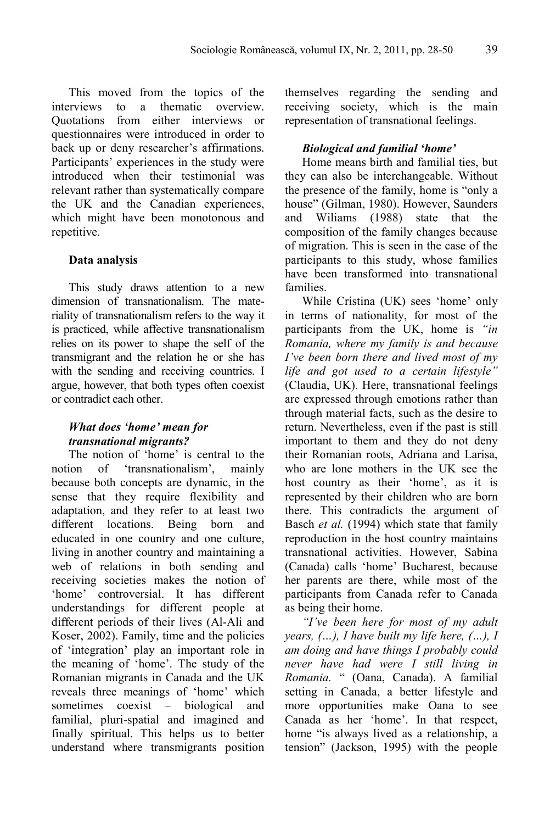This moved from the topics of the interviews to a thematic overview. Quotations from either interviews or questionnaires were introduced in order to back up or deny researcher's affirmations. Participants' experiences in the study were introduced when their testimonial was relevant rather than systematically compare the UK and the Canadian experiences, which might have been monotonous and repetitive.

#### **Data analysis**

This study draws attention to a new dimension of transnationalism. The materiality of transnationalism refers to the way it is practiced, while affective transnationalism relies on its power to shape the self of the transmigrant and the relation he or she has with the sending and receiving countries. I argue, however, that both types often coexist or contradict each other.

# *What does 'home' mean for transnational migrants?*

The notion of 'home' is central to the notion of 'transnationalism', mainly because both concepts are dynamic, in the sense that they require flexibility and adaptation, and they refer to at least two different locations. Being born and educated in one country and one culture, living in another country and maintaining a web of relations in both sending and receiving societies makes the notion of 'home' controversial. It has different understandings for different people at different periods of their lives (Al-Ali and Koser, 2002). Family, time and the policies of 'integration' play an important role in the meaning of 'home'. The study of the Romanian migrants in Canada and the UK reveals three meanings of 'home' which sometimes coexist – biological and familial, pluri-spatial and imagined and finally spiritual. This helps us to better understand where transmigrants position themselves regarding the sending and receiving society, which is the main representation of transnational feelings.

#### *Biological and familial 'home'*

Home means birth and familial ties, but they can also be interchangeable. Without the presence of the family, home is "only a house" (Gilman, 1980). However, Saunders and Wiliams (1988) state that the composition of the family changes because of migration. This is seen in the case of the participants to this study, whose families have been transformed into transnational families.

While Cristina (UK) sees 'home' only in terms of nationality, for most of the participants from the UK, home is *"in Romania, where my family is and because I've been born there and lived most of my life and got used to a certain lifestyle"* (Claudia, UK). Here, transnational feelings are expressed through emotions rather than through material facts, such as the desire to return. Nevertheless, even if the past is still important to them and they do not deny their Romanian roots, Adriana and Larisa, who are lone mothers in the UK see the host country as their 'home', as it is represented by their children who are born there. This contradicts the argument of Basch *et al.* (1994) which state that family reproduction in the host country maintains transnational activities. However, Sabina (Canada) calls 'home' Bucharest, because her parents are there, while most of the participants from Canada refer to Canada as being their home.

*"I've been here for most of my adult years, (…), I have built my life here, (…), I am doing and have things I probably could never have had were I still living in Romania.* " (Oana, Canada). A familial setting in Canada, a better lifestyle and more opportunities make Oana to see Canada as her 'home'. In that respect, home "is always lived as a relationship, a tension" (Jackson, 1995) with the people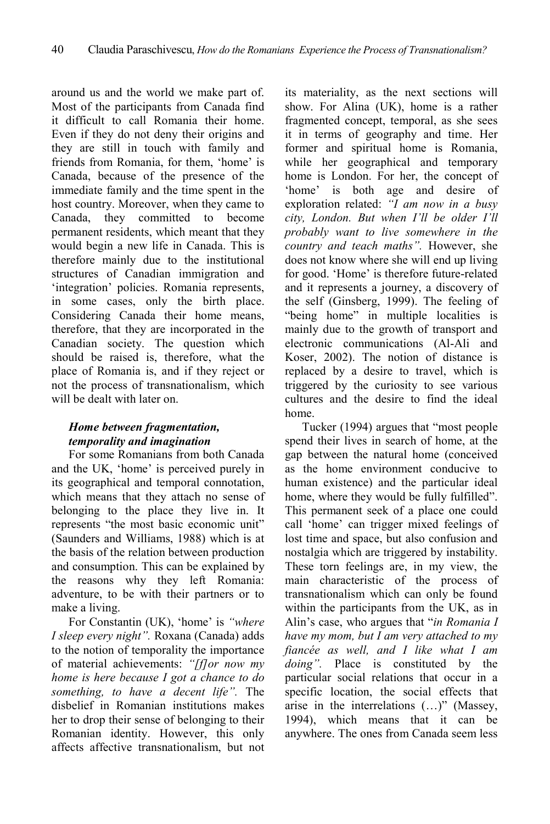around us and the world we make part of. Most of the participants from Canada find it difficult to call Romania their home. Even if they do not deny their origins and they are still in touch with family and friends from Romania, for them, 'home' is Canada, because of the presence of the immediate family and the time spent in the host country. Moreover, when they came to Canada, they committed to become permanent residents, which meant that they would begin a new life in Canada. This is therefore mainly due to the institutional structures of Canadian immigration and 'integration' policies. Romania represents, in some cases, only the birth place. Considering Canada their home means, therefore, that they are incorporated in the Canadian society. The question which should be raised is, therefore, what the place of Romania is, and if they reject or not the process of transnationalism, which will be dealt with later on.

# *Home between fragmentation, temporality and imagination*

For some Romanians from both Canada and the UK, 'home' is perceived purely in its geographical and temporal connotation, which means that they attach no sense of belonging to the place they live in. It represents "the most basic economic unit" (Saunders and Williams, 1988) which is at the basis of the relation between production and consumption. This can be explained by the reasons why they left Romania: adventure, to be with their partners or to make a living.

For Constantin (UK), 'home' is *"where I sleep every night".* Roxana (Canada) adds to the notion of temporality the importance of material achievements: *"[f]or now my home is here because I got a chance to do something, to have a decent life".* The disbelief in Romanian institutions makes her to drop their sense of belonging to their Romanian identity. However, this only affects affective transnationalism, but not

its materiality, as the next sections will show. For Alina (UK), home is a rather fragmented concept, temporal, as she sees it in terms of geography and time. Her former and spiritual home is Romania, while her geographical and temporary home is London. For her, the concept of 'home' is both age and desire of exploration related: *"I am now in a busy city, London. But when I'll be older I'll probably want to live somewhere in the country and teach maths".* However, she does not know where she will end up living for good. 'Home' is therefore future-related and it represents a journey, a discovery of the self (Ginsberg, 1999). The feeling of "being home" in multiple localities is mainly due to the growth of transport and electronic communications (Al-Ali and Koser, 2002). The notion of distance is replaced by a desire to travel, which is triggered by the curiosity to see various cultures and the desire to find the ideal home.

Tucker (1994) argues that "most people spend their lives in search of home, at the gap between the natural home (conceived as the home environment conducive to human existence) and the particular ideal home, where they would be fully fulfilled". This permanent seek of a place one could call 'home' can trigger mixed feelings of lost time and space, but also confusion and nostalgia which are triggered by instability. These torn feelings are, in my view, the main characteristic of the process of transnationalism which can only be found within the participants from the UK, as in Alin's case, who argues that "*in Romania I have my mom, but I am very attached to my fiancée as well, and I like what I am doing"*. Place is constituted by the particular social relations that occur in a specific location, the social effects that arise in the interrelations (…)" (Massey, 1994), which means that it can be anywhere. The ones from Canada seem less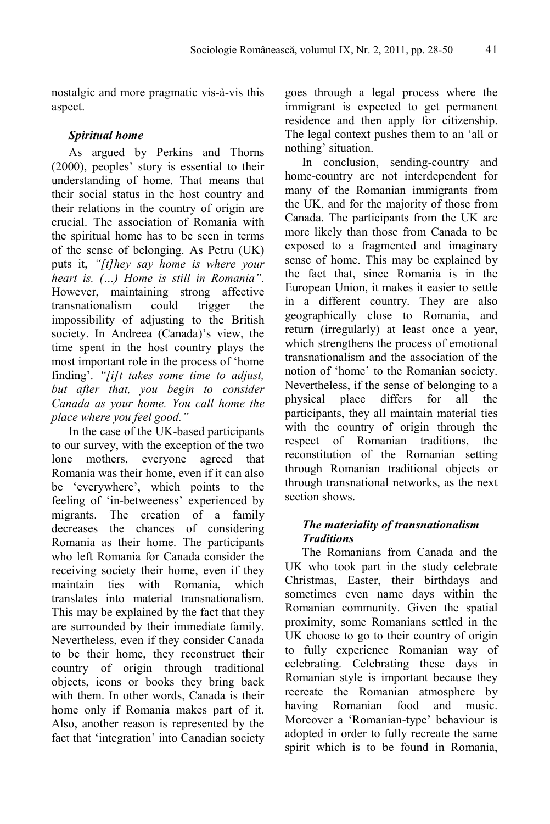nostalgic and more pragmatic vis-à-vis this aspect.

# *Spiritual home*

As argued by Perkins and Thorns (2000), peoples' story is essential to their understanding of home. That means that their social status in the host country and their relations in the country of origin are crucial. The association of Romania with the spiritual home has to be seen in terms of the sense of belonging. As Petru (UK) puts it, *"[t]hey say home is where your heart is. (…) Home is still in Romania".*  However, maintaining strong affective transnationalism could trigger the impossibility of adjusting to the British society. In Andreea (Canada)'s view, the time spent in the host country plays the most important role in the process of 'home finding'. *"[i]t takes some time to adjust, but after that, you begin to consider Canada as your home. You call home the place where you feel good."*

In the case of the UK-based participants to our survey, with the exception of the two lone mothers, everyone agreed that Romania was their home, even if it can also be 'everywhere', which points to the feeling of 'in-betweeness' experienced by migrants. The creation of a family decreases the chances of considering Romania as their home. The participants who left Romania for Canada consider the receiving society their home, even if they maintain ties with Romania, which translates into material transnationalism. This may be explained by the fact that they are surrounded by their immediate family. Nevertheless, even if they consider Canada to be their home, they reconstruct their country of origin through traditional objects, icons or books they bring back with them. In other words, Canada is their home only if Romania makes part of it. Also, another reason is represented by the fact that 'integration' into Canadian society goes through a legal process where the immigrant is expected to get permanent residence and then apply for citizenship. The legal context pushes them to an 'all or nothing' situation.

In conclusion, sending-country and home-country are not interdependent for many of the Romanian immigrants from the UK, and for the majority of those from Canada. The participants from the UK are more likely than those from Canada to be exposed to a fragmented and imaginary sense of home. This may be explained by the fact that, since Romania is in the European Union, it makes it easier to settle in a different country. They are also geographically close to Romania, and return (irregularly) at least once a year, which strengthens the process of emotional transnationalism and the association of the notion of 'home' to the Romanian society. Nevertheless, if the sense of belonging to a physical place differs for all the participants, they all maintain material ties with the country of origin through the respect of Romanian traditions, the reconstitution of the Romanian setting through Romanian traditional objects or through transnational networks, as the next section shows.

# *The materiality of transnationalism Traditions*

The Romanians from Canada and the UK who took part in the study celebrate Christmas, Easter, their birthdays and sometimes even name days within the Romanian community. Given the spatial proximity, some Romanians settled in the UK choose to go to their country of origin to fully experience Romanian way of celebrating. Celebrating these days in Romanian style is important because they recreate the Romanian atmosphere by having Romanian food and music. Moreover a 'Romanian-type' behaviour is adopted in order to fully recreate the same spirit which is to be found in Romania,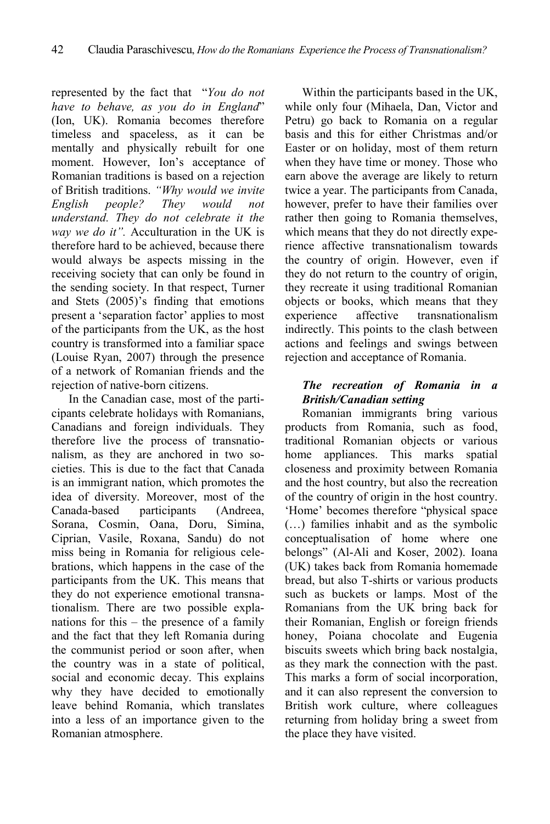represented by the fact that "*You do not have to behave, as you do in England*" (Ion, UK). Romania becomes therefore timeless and spaceless, as it can be mentally and physically rebuilt for one moment. However, Ion's acceptance of Romanian traditions is based on a rejection of British traditions. *"Why would we invite English people? They would not understand. They do not celebrate it the way we do it".* Acculturation in the UK is therefore hard to be achieved, because there would always be aspects missing in the receiving society that can only be found in the sending society. In that respect, Turner and Stets (2005)'s finding that emotions present a 'separation factor' applies to most of the participants from the UK, as the host country is transformed into a familiar space (Louise Ryan, 2007) through the presence of a network of Romanian friends and the rejection of native-born citizens.

In the Canadian case, most of the participants celebrate holidays with Romanians, Canadians and foreign individuals. They therefore live the process of transnationalism, as they are anchored in two societies. This is due to the fact that Canada is an immigrant nation, which promotes the idea of diversity. Moreover, most of the Canada-based participants (Andreea, Sorana, Cosmin, Oana, Doru, Simina, Ciprian, Vasile, Roxana, Sandu) do not miss being in Romania for religious celebrations, which happens in the case of the participants from the UK. This means that they do not experience emotional transnationalism. There are two possible explanations for this – the presence of a family and the fact that they left Romania during the communist period or soon after, when the country was in a state of political, social and economic decay. This explains why they have decided to emotionally leave behind Romania, which translates into a less of an importance given to the Romanian atmosphere.

Within the participants based in the UK, while only four (Mihaela, Dan, Victor and Petru) go back to Romania on a regular basis and this for either Christmas and/or Easter or on holiday, most of them return when they have time or money. Those who earn above the average are likely to return twice a year. The participants from Canada, however, prefer to have their families over rather then going to Romania themselves, which means that they do not directly experience affective transnationalism towards the country of origin. However, even if they do not return to the country of origin, they recreate it using traditional Romanian objects or books, which means that they experience affective transnationalism indirectly. This points to the clash between actions and feelings and swings between rejection and acceptance of Romania.

# *The recreation of Romania in a British/Canadian setting*

Romanian immigrants bring various products from Romania, such as food, traditional Romanian objects or various home appliances. This marks spatial closeness and proximity between Romania and the host country, but also the recreation of the country of origin in the host country. 'Home' becomes therefore "physical space (…) families inhabit and as the symbolic conceptualisation of home where one belongs" (Al-Ali and Koser, 2002). Ioana (UK) takes back from Romania homemade bread, but also T-shirts or various products such as buckets or lamps. Most of the Romanians from the UK bring back for their Romanian, English or foreign friends honey, Poiana chocolate and Eugenia biscuits sweets which bring back nostalgia, as they mark the connection with the past. This marks a form of social incorporation, and it can also represent the conversion to British work culture, where colleagues returning from holiday bring a sweet from the place they have visited.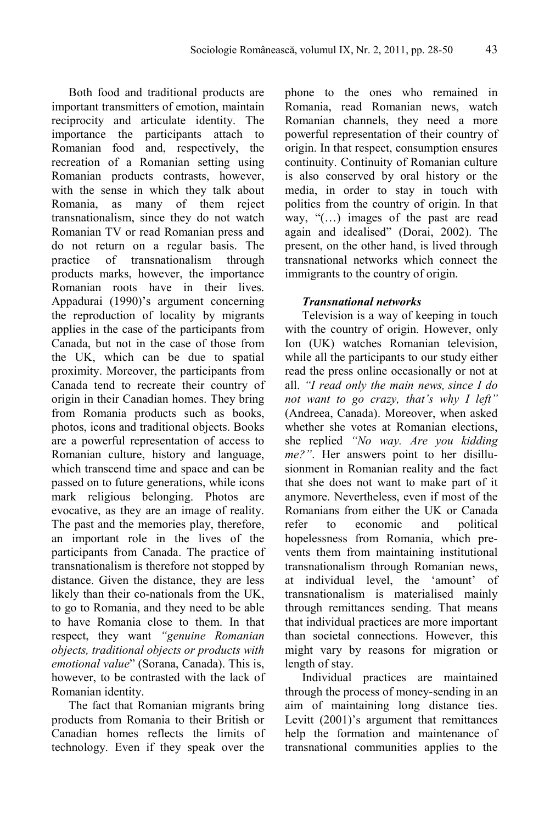Both food and traditional products are important transmitters of emotion, maintain reciprocity and articulate identity. The importance the participants attach to Romanian food and, respectively, the recreation of a Romanian setting using Romanian products contrasts, however, with the sense in which they talk about Romania, as many of them reject transnationalism, since they do not watch Romanian TV or read Romanian press and do not return on a regular basis. The practice of transnationalism through products marks, however, the importance Romanian roots have in their lives. Appadurai (1990)'s argument concerning the reproduction of locality by migrants applies in the case of the participants from Canada, but not in the case of those from the UK, which can be due to spatial proximity. Moreover, the participants from Canada tend to recreate their country of origin in their Canadian homes. They bring from Romania products such as books, photos, icons and traditional objects. Books are a powerful representation of access to Romanian culture, history and language, which transcend time and space and can be passed on to future generations, while icons mark religious belonging. Photos are evocative, as they are an image of reality. The past and the memories play, therefore, an important role in the lives of the participants from Canada. The practice of transnationalism is therefore not stopped by distance. Given the distance, they are less likely than their co-nationals from the UK, to go to Romania, and they need to be able to have Romania close to them. In that respect, they want *"genuine Romanian objects, traditional objects or products with emotional value*" (Sorana, Canada). This is, however, to be contrasted with the lack of Romanian identity.

The fact that Romanian migrants bring products from Romania to their British or Canadian homes reflects the limits of technology. Even if they speak over the phone to the ones who remained in Romania, read Romanian news, watch Romanian channels, they need a more powerful representation of their country of origin. In that respect, consumption ensures continuity. Continuity of Romanian culture is also conserved by oral history or the media, in order to stay in touch with politics from the country of origin. In that way, "(…) images of the past are read again and idealised" (Dorai, 2002). The present, on the other hand, is lived through transnational networks which connect the immigrants to the country of origin.

#### *Transnational networks*

Television is a way of keeping in touch with the country of origin. However, only Ion (UK) watches Romanian television, while all the participants to our study either read the press online occasionally or not at all. *"I read only the main news, since I do not want to go crazy, that's why I left"* (Andreea, Canada). Moreover, when asked whether she votes at Romanian elections she replied *"No way. Are you kidding me?"*. Her answers point to her disillusionment in Romanian reality and the fact that she does not want to make part of it anymore. Nevertheless, even if most of the Romanians from either the UK or Canada refer to economic and political hopelessness from Romania, which prevents them from maintaining institutional transnationalism through Romanian news, at individual level, the 'amount' of transnationalism is materialised mainly through remittances sending. That means that individual practices are more important than societal connections. However, this might vary by reasons for migration or length of stay.

Individual practices are maintained through the process of money-sending in an aim of maintaining long distance ties. Levitt (2001)'s argument that remittances help the formation and maintenance of transnational communities applies to the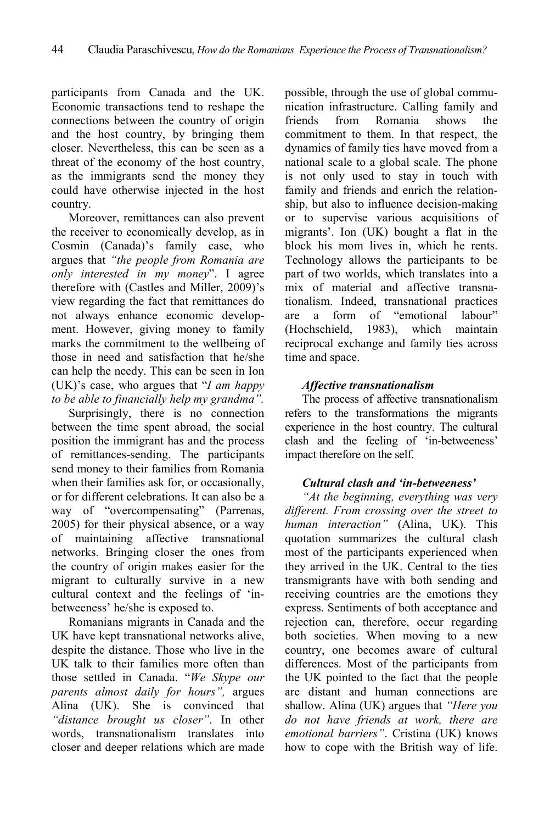participants from Canada and the UK. Economic transactions tend to reshape the connections between the country of origin and the host country, by bringing them closer. Nevertheless, this can be seen as a threat of the economy of the host country, as the immigrants send the money they could have otherwise injected in the host country.

Moreover, remittances can also prevent the receiver to economically develop, as in Cosmin (Canada)'s family case, who argues that *"the people from Romania are only interested in my money*". I agree therefore with (Castles and Miller, 2009)'s view regarding the fact that remittances do not always enhance economic development. However, giving money to family marks the commitment to the wellbeing of those in need and satisfaction that he/she can help the needy. This can be seen in Ion (UK)'s case, who argues that "*I am happy to be able to financially help my grandma".*

Surprisingly, there is no connection between the time spent abroad, the social position the immigrant has and the process of remittances-sending. The participants send money to their families from Romania when their families ask for, or occasionally, or for different celebrations. It can also be a way of "overcompensating" (Parrenas, 2005) for their physical absence, or a way of maintaining affective transnational networks. Bringing closer the ones from the country of origin makes easier for the migrant to culturally survive in a new cultural context and the feelings of 'inbetweeness' he/she is exposed to.

Romanians migrants in Canada and the UK have kept transnational networks alive, despite the distance. Those who live in the UK talk to their families more often than those settled in Canada. "*We Skype our parents almost daily for hours",* argues Alina (UK). She is convinced that *"distance brought us closer"*. In other words, transnationalism translates into closer and deeper relations which are made possible, through the use of global communication infrastructure. Calling family and friends from Romania shows the commitment to them. In that respect, the dynamics of family ties have moved from a national scale to a global scale. The phone is not only used to stay in touch with family and friends and enrich the relationship, but also to influence decision-making or to supervise various acquisitions of migrants'. Ion (UK) bought a flat in the block his mom lives in, which he rents. Technology allows the participants to be part of two worlds, which translates into a mix of material and affective transnationalism. Indeed, transnational practices are a form of "emotional labour" (Hochschield, 1983), which maintain reciprocal exchange and family ties across time and space.

# *Affective transnationalism*

The process of affective transnationalism refers to the transformations the migrants experience in the host country. The cultural clash and the feeling of 'in-betweeness' impact therefore on the self.

# *Cultural clash and 'in-betweeness'*

*"At the beginning, everything was very different. From crossing over the street to human interaction"* (Alina, UK). This quotation summarizes the cultural clash most of the participants experienced when they arrived in the UK. Central to the ties transmigrants have with both sending and receiving countries are the emotions they express. Sentiments of both acceptance and rejection can, therefore, occur regarding both societies. When moving to a new country, one becomes aware of cultural differences. Most of the participants from the UK pointed to the fact that the people are distant and human connections are shallow. Alina (UK) argues that *"Here you do not have friends at work, there are emotional barriers"*. Cristina (UK) knows how to cope with the British way of life.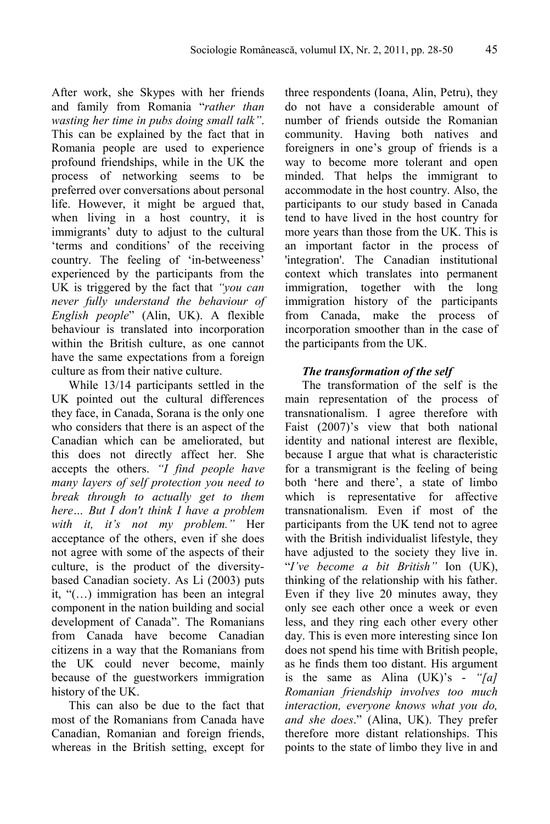After work, she Skypes with her friends and family from Romania "*rather than wasting her time in pubs doing small talk"*. This can be explained by the fact that in Romania people are used to experience profound friendships, while in the UK the process of networking seems to be preferred over conversations about personal life. However, it might be argued that, when living in a host country, it is immigrants' duty to adjust to the cultural 'terms and conditions' of the receiving country. The feeling of 'in-betweeness' experienced by the participants from the UK is triggered by the fact that *"you can never fully understand the behaviour of English people*" (Alin, UK). A flexible behaviour is translated into incorporation within the British culture, as one cannot have the same expectations from a foreign culture as from their native culture.

While 13/14 participants settled in the UK pointed out the cultural differences they face, in Canada, Sorana is the only one who considers that there is an aspect of the Canadian which can be ameliorated, but this does not directly affect her. She accepts the others. *"I find people have many layers of self protection you need to break through to actually get to them here… But I don't think I have a problem with it, it's not my problem."* Her acceptance of the others, even if she does not agree with some of the aspects of their culture, is the product of the diversitybased Canadian society. As Li (2003) puts it, "(…) immigration has been an integral component in the nation building and social development of Canada". The Romanians from Canada have become Canadian citizens in a way that the Romanians from the UK could never become, mainly because of the guestworkers immigration history of the UK.

This can also be due to the fact that most of the Romanians from Canada have Canadian, Romanian and foreign friends, whereas in the British setting, except for

three respondents (Ioana, Alin, Petru), they do not have a considerable amount of number of friends outside the Romanian community. Having both natives and foreigners in one's group of friends is a way to become more tolerant and open minded. That helps the immigrant to accommodate in the host country. Also, the participants to our study based in Canada tend to have lived in the host country for more years than those from the UK. This is an important factor in the process of 'integration'. The Canadian institutional context which translates into permanent immigration, together with the long immigration history of the participants from Canada, make the process of incorporation smoother than in the case of the participants from the UK.

# *The transformation of the self*

The transformation of the self is the main representation of the process of transnationalism. I agree therefore with Faist (2007)'s view that both national identity and national interest are flexible, because I argue that what is characteristic for a transmigrant is the feeling of being both 'here and there', a state of limbo which is representative for affective transnationalism. Even if most of the participants from the UK tend not to agree with the British individualist lifestyle, they have adjusted to the society they live in. "*I've become a bit British"* Ion (UK), thinking of the relationship with his father. Even if they live 20 minutes away, they only see each other once a week or even less, and they ring each other every other day. This is even more interesting since Ion does not spend his time with British people, as he finds them too distant. His argument is the same as Alina (UK)'s - *"[a] Romanian friendship involves too much interaction, everyone knows what you do, and she does*." (Alina, UK). They prefer therefore more distant relationships. This points to the state of limbo they live in and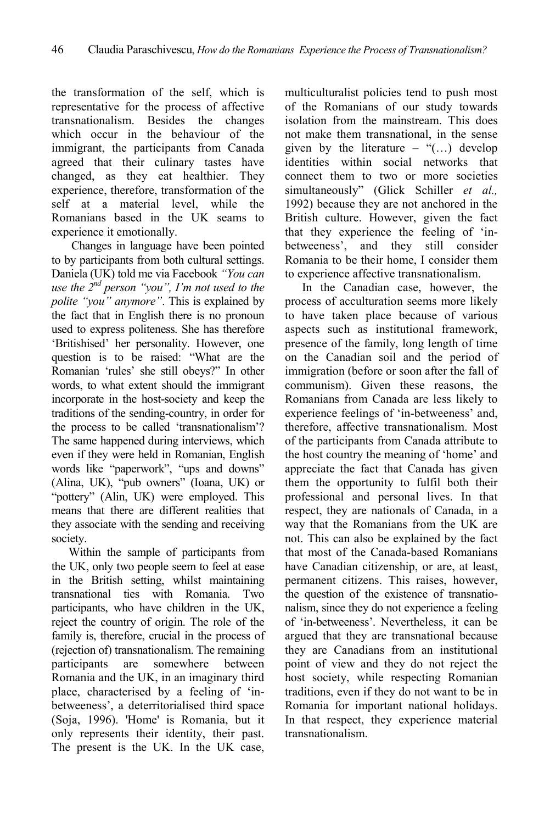the transformation of the self, which is representative for the process of affective transnationalism. Besides the changes which occur in the behaviour of the immigrant, the participants from Canada agreed that their culinary tastes have changed, as they eat healthier. They experience, therefore, transformation of the self at a material level, while the Romanians based in the UK seams to experience it emotionally.

 Changes in language have been pointed to by participants from both cultural settings. Daniela (UK) told me via Facebook *"You can use the 2nd person "you", I'm not used to the polite "you" anymore"*. This is explained by the fact that in English there is no pronoun used to express politeness. She has therefore 'Britishised' her personality. However, one question is to be raised: "What are the Romanian 'rules' she still obeys?" In other words, to what extent should the immigrant incorporate in the host-society and keep the traditions of the sending-country, in order for the process to be called 'transnationalism'? The same happened during interviews, which even if they were held in Romanian, English words like "paperwork", "ups and downs" (Alina, UK), "pub owners" (Ioana, UK) or "pottery" (Alin, UK) were employed. This means that there are different realities that they associate with the sending and receiving society.

Within the sample of participants from the UK, only two people seem to feel at ease in the British setting, whilst maintaining transnational ties with Romania. Two participants, who have children in the UK, reject the country of origin. The role of the family is, therefore, crucial in the process of (rejection of) transnationalism. The remaining participants are somewhere between Romania and the UK, in an imaginary third place, characterised by a feeling of 'inbetweeness', a deterritorialised third space (Soja, 1996). 'Home' is Romania, but it only represents their identity, their past. The present is the UK. In the UK case,

multiculturalist policies tend to push most of the Romanians of our study towards isolation from the mainstream. This does not make them transnational, in the sense given by the literature – " $(...)$  develop identities within social networks that connect them to two or more societies simultaneously" (Glick Schiller *et al.,* 1992) because they are not anchored in the British culture. However, given the fact that they experience the feeling of 'inbetweeness', and they still consider Romania to be their home, I consider them to experience affective transnationalism.

In the Canadian case, however, the process of acculturation seems more likely to have taken place because of various aspects such as institutional framework, presence of the family, long length of time on the Canadian soil and the period of immigration (before or soon after the fall of communism). Given these reasons, the Romanians from Canada are less likely to experience feelings of 'in-betweeness' and, therefore, affective transnationalism. Most of the participants from Canada attribute to the host country the meaning of 'home' and appreciate the fact that Canada has given them the opportunity to fulfil both their professional and personal lives. In that respect, they are nationals of Canada, in a way that the Romanians from the UK are not. This can also be explained by the fact that most of the Canada-based Romanians have Canadian citizenship, or are, at least, permanent citizens. This raises, however, the question of the existence of transnationalism, since they do not experience a feeling of 'in-betweeness'. Nevertheless, it can be argued that they are transnational because they are Canadians from an institutional point of view and they do not reject the host society, while respecting Romanian traditions, even if they do not want to be in Romania for important national holidays. In that respect, they experience material transnationalism.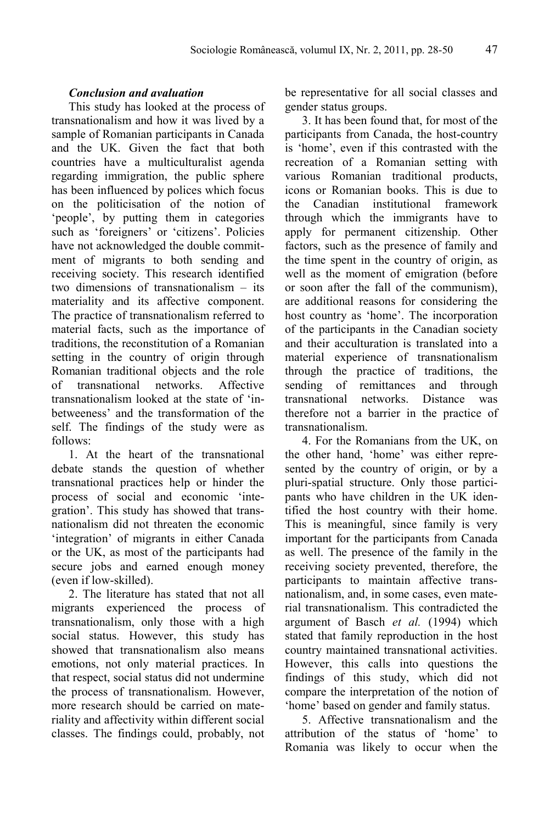## *Conclusion and avaluation*

This study has looked at the process of transnationalism and how it was lived by a sample of Romanian participants in Canada and the UK. Given the fact that both countries have a multiculturalist agenda regarding immigration, the public sphere has been influenced by polices which focus on the politicisation of the notion of 'people', by putting them in categories such as 'foreigners' or 'citizens'. Policies have not acknowledged the double commitment of migrants to both sending and receiving society. This research identified two dimensions of transnationalism – its materiality and its affective component. The practice of transnationalism referred to material facts, such as the importance of traditions, the reconstitution of a Romanian setting in the country of origin through Romanian traditional objects and the role of transnational networks. Affective transnationalism looked at the state of 'inbetweeness' and the transformation of the self. The findings of the study were as follows:

1. At the heart of the transnational debate stands the question of whether transnational practices help or hinder the process of social and economic 'integration'. This study has showed that transnationalism did not threaten the economic 'integration' of migrants in either Canada or the UK, as most of the participants had secure jobs and earned enough money (even if low-skilled).

2. The literature has stated that not all migrants experienced the process of transnationalism, only those with a high social status. However, this study has showed that transnationalism also means emotions, not only material practices. In that respect, social status did not undermine the process of transnationalism. However, more research should be carried on materiality and affectivity within different social classes. The findings could, probably, not be representative for all social classes and gender status groups.

3. It has been found that, for most of the participants from Canada, the host-country is 'home', even if this contrasted with the recreation of a Romanian setting with various Romanian traditional products, icons or Romanian books. This is due to the Canadian institutional framework through which the immigrants have to apply for permanent citizenship. Other factors, such as the presence of family and the time spent in the country of origin, as well as the moment of emigration (before or soon after the fall of the communism), are additional reasons for considering the host country as 'home'. The incorporation of the participants in the Canadian society and their acculturation is translated into a material experience of transnationalism through the practice of traditions, the sending of remittances and through transnational networks. Distance was therefore not a barrier in the practice of transnationalism.

4. For the Romanians from the UK, on the other hand, 'home' was either represented by the country of origin, or by a pluri-spatial structure. Only those participants who have children in the UK identified the host country with their home. This is meaningful, since family is very important for the participants from Canada as well. The presence of the family in the receiving society prevented, therefore, the participants to maintain affective transnationalism, and, in some cases, even material transnationalism. This contradicted the argument of Basch *et al.* (1994) which stated that family reproduction in the host country maintained transnational activities. However, this calls into questions the findings of this study, which did not compare the interpretation of the notion of 'home' based on gender and family status.

5. Affective transnationalism and the attribution of the status of 'home' to Romania was likely to occur when the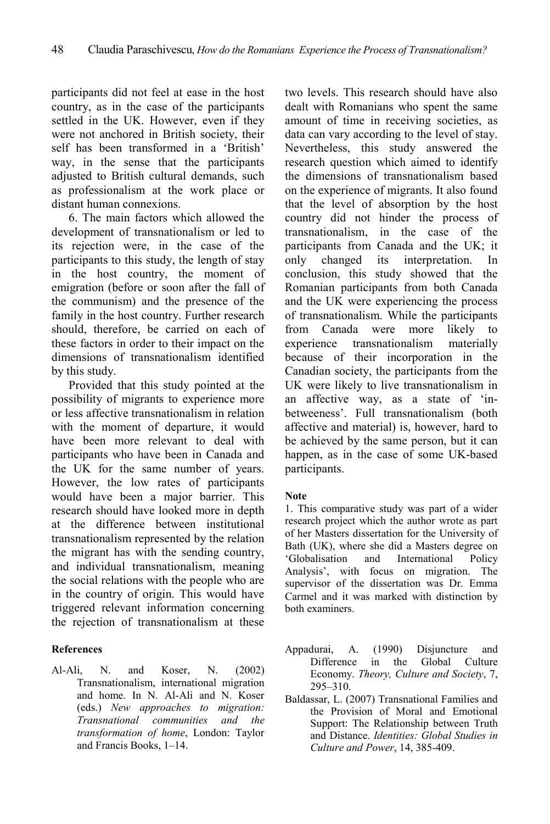participants did not feel at ease in the host country, as in the case of the participants settled in the UK. However, even if they were not anchored in British society, their self has been transformed in a 'British' way, in the sense that the participants adjusted to British cultural demands, such as professionalism at the work place or distant human connexions.

6. The main factors which allowed the development of transnationalism or led to its rejection were, in the case of the participants to this study, the length of stay in the host country, the moment of emigration (before or soon after the fall of the communism) and the presence of the family in the host country. Further research should, therefore, be carried on each of these factors in order to their impact on the dimensions of transnationalism identified by this study.

Provided that this study pointed at the possibility of migrants to experience more or less affective transnationalism in relation with the moment of departure, it would have been more relevant to deal with participants who have been in Canada and the UK for the same number of years. However, the low rates of participants would have been a major barrier. This research should have looked more in depth at the difference between institutional transnationalism represented by the relation the migrant has with the sending country, and individual transnationalism, meaning the social relations with the people who are in the country of origin. This would have triggered relevant information concerning the rejection of transnationalism at these

# **References**

Al-Ali, N. and Koser, N. (2002) Transnationalism, international migration and home. In N. Al-Ali and N. Koser (eds.) *New approaches to migration: Transnational communities and the transformation of home*, London: Taylor and Francis Books, 1–14.

two levels. This research should have also dealt with Romanians who spent the same amount of time in receiving societies, as data can vary according to the level of stay. Nevertheless, this study answered the research question which aimed to identify the dimensions of transnationalism based on the experience of migrants. It also found that the level of absorption by the host country did not hinder the process of transnationalism, in the case of the participants from Canada and the UK; it only changed its interpretation. In conclusion, this study showed that the Romanian participants from both Canada and the UK were experiencing the process of transnationalism. While the participants from Canada were more likely to experience transnationalism materially because of their incorporation in the Canadian society, the participants from the UK were likely to live transnationalism in an affective way, as a state of 'inbetweeness'. Full transnationalism (both affective and material) is, however, hard to be achieved by the same person, but it can happen, as in the case of some UK-based participants.

#### **Note**

1. This comparative study was part of a wider research project which the author wrote as part of her Masters dissertation for the University of Bath (UK), where she did a Masters degree on 'Globalisation and International Policy Analysis', with focus on migration. The supervisor of the dissertation was Dr. Emma Carmel and it was marked with distinction by both examiners.

- Appadurai, A. (1990) Disjuncture and Difference in the Global Culture Economy. *Theory, Culture and Society*, 7, 295–310.
- Baldassar, L. (2007) Transnational Families and the Provision of Moral and Emotional Support: The Relationship between Truth and Distance. *Identities: Global Studies in Culture and Power*, 14, 385-409.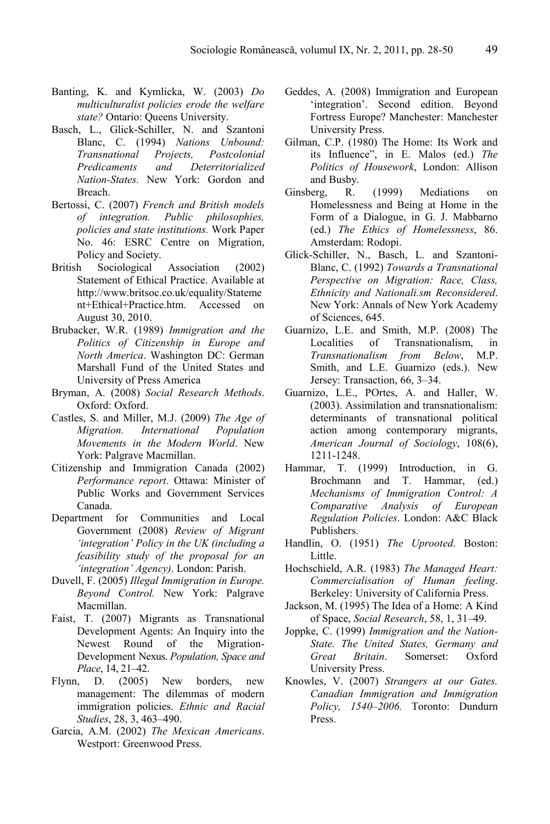- Banting, K. and Kymlicka, W. (2003) *Do multiculturalist policies erode the welfare state?* Ontario: Queens University.
- Basch, L., Glick-Schiller, N. and Szantoni Blanc, C. (1994) *Nations Unbound: Transnational Projects, Postcolonial Predicaments and Deterritorialized Nation-States.* New York: Gordon and Breach.
- Bertossi, C. (2007) *French and British models of integration. Public philosophies, policies and state institutions.* Work Paper No. 46: ESRC Centre on Migration, Policy and Society.
- British Sociological Association (2002) Statement of Ethical Practice. Available at http://www.britsoc.co.uk/equality/Stateme nt+Ethical+Practice.htm. Accessed on August 30, 2010.
- Brubacker, W.R. (1989) *Immigration and the Politics of Citizenship in Europe and North America*. Washington DC: German Marshall Fund of the United States and University of Press America
- Bryman, A. (2008) *Social Research Methods*. Oxford: Oxford.
- Castles, S. and Miller, M.J. (2009) *The Age of Migration. International Population Movements in the Modern World*. New York: Palgrave Macmillan.
- Citizenship and Immigration Canada (2002) *Performance report*. Ottawa: Minister of Public Works and Government Services Canada.
- Department for Communities and Local Government (2008) *Review of Migrant 'integration' Policy in the UK (including a feasibility study of the proposal for an 'integration' Agency)*. London: Parish.
- Duvell, F. (2005) *Illegal Immigration in Europe. Beyond Control.* New York: Palgrave Macmillan.
- Faist, T. (2007) Migrants as Transnational Development Agents: An Inquiry into the Newest Round of the Migration-Development Nexus. *Population, Space and Place*, 14, 21–42.
- Flynn, D. (2005) New borders, new management: The dilemmas of modern immigration policies. *Ethnic and Racial Studies*, 28, 3, 463–490.
- Garcia, A.M. (2002) *The Mexican Americans*. Westport: Greenwood Press.
- Geddes, A. (2008) Immigration and European 'integration'. Second edition. Beyond Fortress Europe? Manchester: Manchester University Press.
- Gilman, C.P. (1980) The Home: Its Work and its Influence", in E. Malos (ed.) *The Politics of Housework*, London: Allison and Busby.
- Ginsberg, R. (1999) Mediations on Homelessness and Being at Home in the Form of a Dialogue, in G. J. Mabbarno (ed.) *The Ethics of Homelessness*, 86. Amsterdam: Rodopi.
- Glick-Schiller, N., Basch, L. and Szantoni-Blanc, C. (1992) *Towards a Transnational Perspective on Migration: Race, Class, Ethnicity and Nationali.sm Reconsidered*. New York: Annals of New York Academy of Sciences, 645.
- Guarnizo, L.E. and Smith, M.P. (2008) The Localities of Transnationalism, in *Transnationalism from Below*, M.P. Smith, and L.E. Guarnizo (eds.). New Jersey: Transaction, 66, 3–34.
- Guarnizo, L.E., POrtes, A. and Haller, W. (2003). Assimilation and transnationalism: determinants of transnational political action among contemporary migrants, *American Journal of Sociology*, 108(6), 1211-1248.
- Hammar, T. (1999) Introduction, in G. Brochmann and T. Hammar, (ed.) *Mechanisms of Immigration Control: A Comparative Analysis of European Regulation Policies*. London: A&C Black Publishers.
- Handlin, O. (1951) *The Uprooted*. Boston: Little.
- Hochschield, A.R. (1983) *The Managed Heart: Commercialisation of Human feeling*. Berkeley: University of California Press.
- Jackson, M. (1995) The Idea of a Home: A Kind of Space, *Social Research*, 58, 1, 31–49.
- Joppke, C. (1999) *Immigration and the Nation-State. The United States, Germany and Great Britain*. Somerset: Oxford University Press.
- Knowles, V. (2007) *Strangers at our Gates. Canadian Immigration and Immigration Policy, 1540–2006.* Toronto: Dundurn Press.